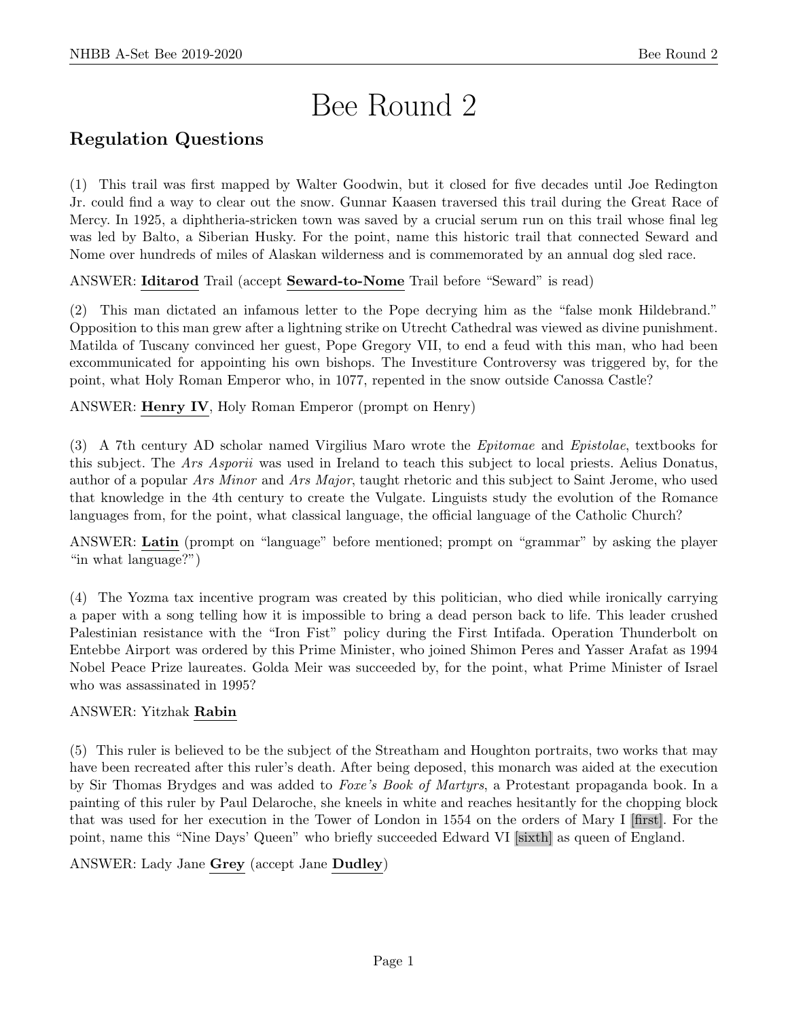# Bee Round 2

# Regulation Questions

(1) This trail was first mapped by Walter Goodwin, but it closed for five decades until Joe Redington Jr. could find a way to clear out the snow. Gunnar Kaasen traversed this trail during the Great Race of Mercy. In 1925, a diphtheria-stricken town was saved by a crucial serum run on this trail whose final leg was led by Balto, a Siberian Husky. For the point, name this historic trail that connected Seward and Nome over hundreds of miles of Alaskan wilderness and is commemorated by an annual dog sled race.

ANSWER: Iditarod Trail (accept Seward-to-Nome Trail before "Seward" is read)

(2) This man dictated an infamous letter to the Pope decrying him as the "false monk Hildebrand." Opposition to this man grew after a lightning strike on Utrecht Cathedral was viewed as divine punishment. Matilda of Tuscany convinced her guest, Pope Gregory VII, to end a feud with this man, who had been excommunicated for appointing his own bishops. The Investiture Controversy was triggered by, for the point, what Holy Roman Emperor who, in 1077, repented in the snow outside Canossa Castle?

ANSWER: Henry IV, Holy Roman Emperor (prompt on Henry)

(3) A 7th century AD scholar named Virgilius Maro wrote the Epitomae and Epistolae, textbooks for this subject. The Ars Asporii was used in Ireland to teach this subject to local priests. Aelius Donatus, author of a popular Ars Minor and Ars Major, taught rhetoric and this subject to Saint Jerome, who used that knowledge in the 4th century to create the Vulgate. Linguists study the evolution of the Romance languages from, for the point, what classical language, the official language of the Catholic Church?

ANSWER: Latin (prompt on "language" before mentioned; prompt on "grammar" by asking the player "in what language?")

(4) The Yozma tax incentive program was created by this politician, who died while ironically carrying a paper with a song telling how it is impossible to bring a dead person back to life. This leader crushed Palestinian resistance with the "Iron Fist" policy during the First Intifada. Operation Thunderbolt on Entebbe Airport was ordered by this Prime Minister, who joined Shimon Peres and Yasser Arafat as 1994 Nobel Peace Prize laureates. Golda Meir was succeeded by, for the point, what Prime Minister of Israel who was assassinated in 1995?

# ANSWER: Yitzhak Rabin

(5) This ruler is believed to be the subject of the Streatham and Houghton portraits, two works that may have been recreated after this ruler's death. After being deposed, this monarch was aided at the execution by Sir Thomas Brydges and was added to Foxe's Book of Martyrs, a Protestant propaganda book. In a painting of this ruler by Paul Delaroche, she kneels in white and reaches hesitantly for the chopping block that was used for her execution in the Tower of London in 1554 on the orders of Mary I [first]. For the point, name this "Nine Days' Queen" who briefly succeeded Edward VI [sixth] as queen of England.

ANSWER: Lady Jane Grey (accept Jane Dudley)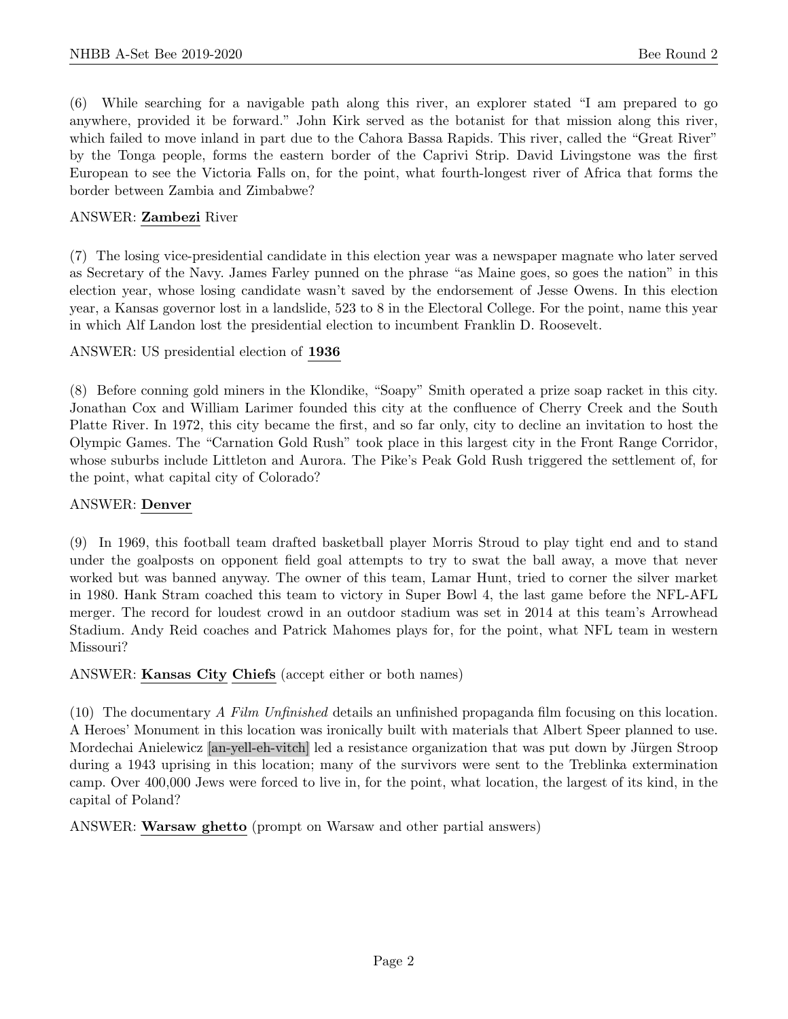(6) While searching for a navigable path along this river, an explorer stated "I am prepared to go anywhere, provided it be forward." John Kirk served as the botanist for that mission along this river, which failed to move inland in part due to the Cahora Bassa Rapids. This river, called the "Great River" by the Tonga people, forms the eastern border of the Caprivi Strip. David Livingstone was the first European to see the Victoria Falls on, for the point, what fourth-longest river of Africa that forms the border between Zambia and Zimbabwe?

#### ANSWER: Zambezi River

(7) The losing vice-presidential candidate in this election year was a newspaper magnate who later served as Secretary of the Navy. James Farley punned on the phrase "as Maine goes, so goes the nation" in this election year, whose losing candidate wasn't saved by the endorsement of Jesse Owens. In this election year, a Kansas governor lost in a landslide, 523 to 8 in the Electoral College. For the point, name this year in which Alf Landon lost the presidential election to incumbent Franklin D. Roosevelt.

ANSWER: US presidential election of 1936

(8) Before conning gold miners in the Klondike, "Soapy" Smith operated a prize soap racket in this city. Jonathan Cox and William Larimer founded this city at the confluence of Cherry Creek and the South Platte River. In 1972, this city became the first, and so far only, city to decline an invitation to host the Olympic Games. The "Carnation Gold Rush" took place in this largest city in the Front Range Corridor, whose suburbs include Littleton and Aurora. The Pike's Peak Gold Rush triggered the settlement of, for the point, what capital city of Colorado?

#### ANSWER: Denver

(9) In 1969, this football team drafted basketball player Morris Stroud to play tight end and to stand under the goalposts on opponent field goal attempts to try to swat the ball away, a move that never worked but was banned anyway. The owner of this team, Lamar Hunt, tried to corner the silver market in 1980. Hank Stram coached this team to victory in Super Bowl 4, the last game before the NFL-AFL merger. The record for loudest crowd in an outdoor stadium was set in 2014 at this team's Arrowhead Stadium. Andy Reid coaches and Patrick Mahomes plays for, for the point, what NFL team in western Missouri?

ANSWER: Kansas City Chiefs (accept either or both names)

(10) The documentary A Film Unfinished details an unfinished propaganda film focusing on this location. A Heroes' Monument in this location was ironically built with materials that Albert Speer planned to use. Mordechai Anielewicz [an-yell-eh-vitch] led a resistance organization that was put down by Jürgen Stroop during a 1943 uprising in this location; many of the survivors were sent to the Treblinka extermination camp. Over 400,000 Jews were forced to live in, for the point, what location, the largest of its kind, in the capital of Poland?

ANSWER: Warsaw ghetto (prompt on Warsaw and other partial answers)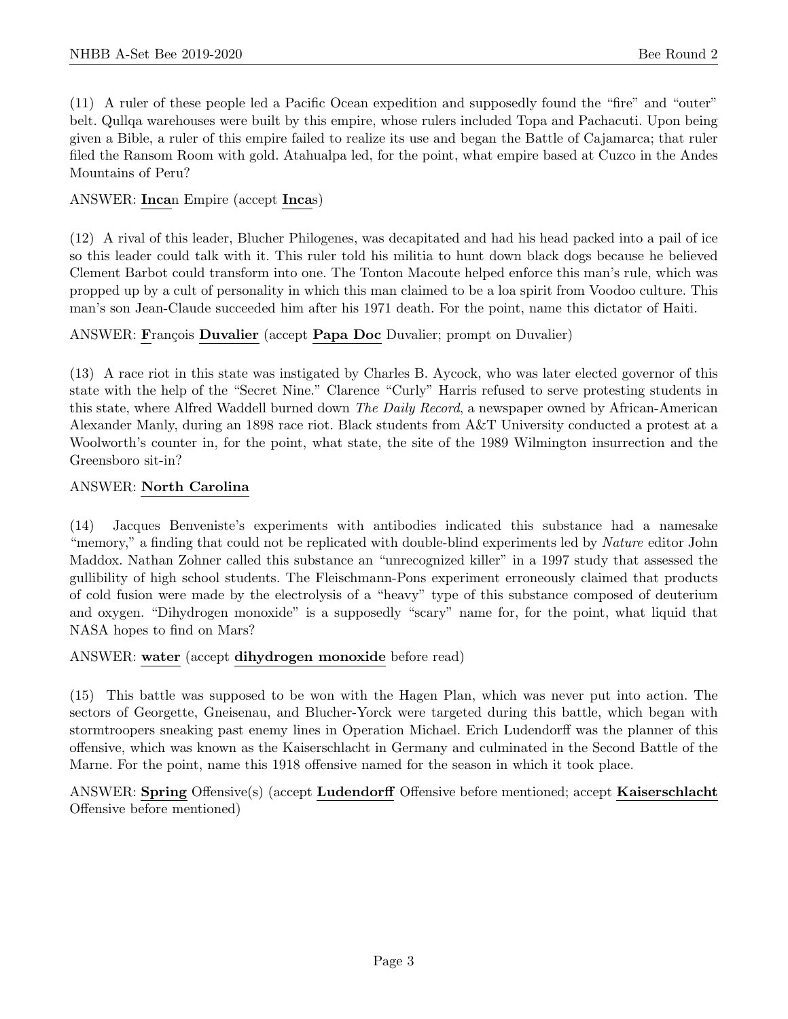(11) A ruler of these people led a Pacific Ocean expedition and supposedly found the "fire" and "outer" belt. Qullqa warehouses were built by this empire, whose rulers included Topa and Pachacuti. Upon being given a Bible, a ruler of this empire failed to realize its use and began the Battle of Cajamarca; that ruler filed the Ransom Room with gold. Atahualpa led, for the point, what empire based at Cuzco in the Andes Mountains of Peru?

#### ANSWER: Incan Empire (accept Incas)

(12) A rival of this leader, Blucher Philogenes, was decapitated and had his head packed into a pail of ice so this leader could talk with it. This ruler told his militia to hunt down black dogs because he believed Clement Barbot could transform into one. The Tonton Macoute helped enforce this man's rule, which was propped up by a cult of personality in which this man claimed to be a loa spirit from Voodoo culture. This man's son Jean-Claude succeeded him after his 1971 death. For the point, name this dictator of Haiti.

# ANSWER: François Duvalier (accept Papa Doc Duvalier; prompt on Duvalier)

(13) A race riot in this state was instigated by Charles B. Aycock, who was later elected governor of this state with the help of the "Secret Nine." Clarence "Curly" Harris refused to serve protesting students in this state, where Alfred Waddell burned down *The Daily Record*, a newspaper owned by African-American Alexander Manly, during an 1898 race riot. Black students from A&T University conducted a protest at a Woolworth's counter in, for the point, what state, the site of the 1989 Wilmington insurrection and the Greensboro sit-in?

#### ANSWER: North Carolina

(14) Jacques Benveniste's experiments with antibodies indicated this substance had a namesake "memory," a finding that could not be replicated with double-blind experiments led by *Nature* editor John Maddox. Nathan Zohner called this substance an "unrecognized killer" in a 1997 study that assessed the gullibility of high school students. The Fleischmann-Pons experiment erroneously claimed that products of cold fusion were made by the electrolysis of a "heavy" type of this substance composed of deuterium and oxygen. "Dihydrogen monoxide" is a supposedly "scary" name for, for the point, what liquid that NASA hopes to find on Mars?

#### ANSWER: water (accept dihydrogen monoxide before read)

(15) This battle was supposed to be won with the Hagen Plan, which was never put into action. The sectors of Georgette, Gneisenau, and Blucher-Yorck were targeted during this battle, which began with stormtroopers sneaking past enemy lines in Operation Michael. Erich Ludendorff was the planner of this offensive, which was known as the Kaiserschlacht in Germany and culminated in the Second Battle of the Marne. For the point, name this 1918 offensive named for the season in which it took place.

ANSWER: Spring Offensive(s) (accept Ludendorff Offensive before mentioned; accept Kaiserschlacht Offensive before mentioned)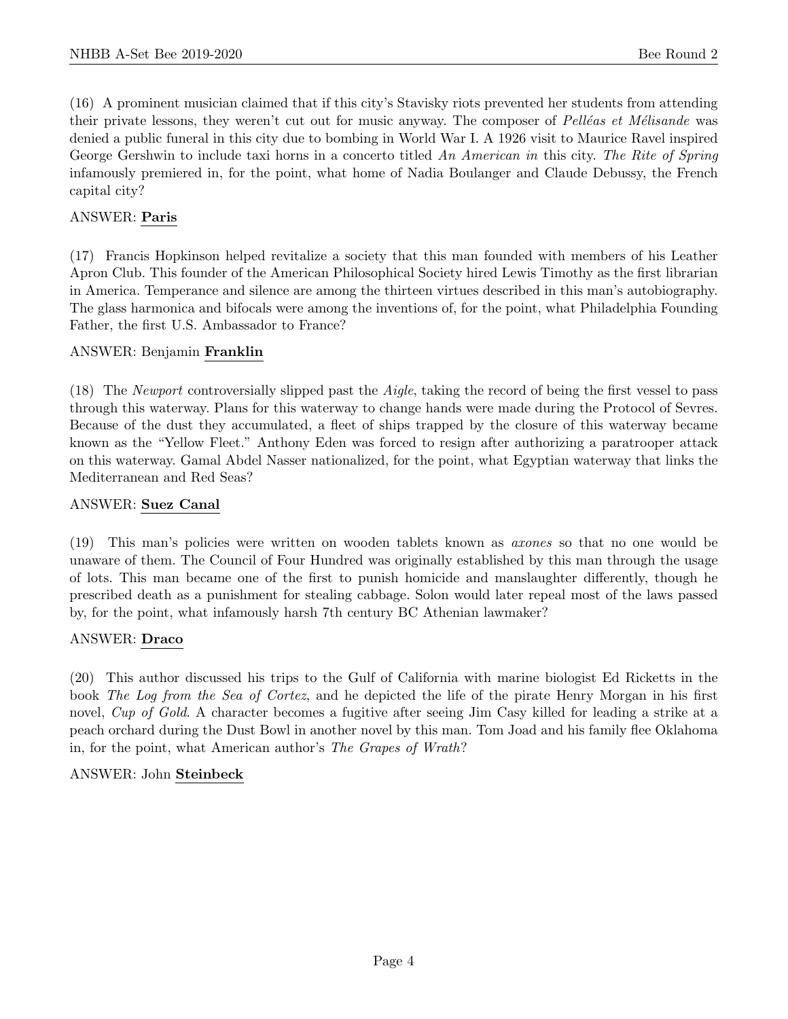(16) A prominent musician claimed that if this city's Stavisky riots prevented her students from attending their private lessons, they weren't cut out for music anyway. The composer of Pelléas et Mélisande was denied a public funeral in this city due to bombing in World War I. A 1926 visit to Maurice Ravel inspired George Gershwin to include taxi horns in a concerto titled An American in this city. The Rite of Spring infamously premiered in, for the point, what home of Nadia Boulanger and Claude Debussy, the French capital city?

# ANSWER: Paris

(17) Francis Hopkinson helped revitalize a society that this man founded with members of his Leather Apron Club. This founder of the American Philosophical Society hired Lewis Timothy as the first librarian in America. Temperance and silence are among the thirteen virtues described in this man's autobiography. The glass harmonica and bifocals were among the inventions of, for the point, what Philadelphia Founding Father, the first U.S. Ambassador to France?

# ANSWER: Benjamin Franklin

(18) The Newport controversially slipped past the Aigle, taking the record of being the first vessel to pass through this waterway. Plans for this waterway to change hands were made during the Protocol of Sevres. Because of the dust they accumulated, a fleet of ships trapped by the closure of this waterway became known as the "Yellow Fleet." Anthony Eden was forced to resign after authorizing a paratrooper attack on this waterway. Gamal Abdel Nasser nationalized, for the point, what Egyptian waterway that links the Mediterranean and Red Seas?

#### ANSWER: Suez Canal

(19) This man's policies were written on wooden tablets known as axones so that no one would be unaware of them. The Council of Four Hundred was originally established by this man through the usage of lots. This man became one of the first to punish homicide and manslaughter differently, though he prescribed death as a punishment for stealing cabbage. Solon would later repeal most of the laws passed by, for the point, what infamously harsh 7th century BC Athenian lawmaker?

#### ANSWER: Draco

(20) This author discussed his trips to the Gulf of California with marine biologist Ed Ricketts in the book The Log from the Sea of Cortez, and he depicted the life of the pirate Henry Morgan in his first novel, Cup of Gold. A character becomes a fugitive after seeing Jim Casy killed for leading a strike at a peach orchard during the Dust Bowl in another novel by this man. Tom Joad and his family flee Oklahoma in, for the point, what American author's The Grapes of Wrath?

# ANSWER: John Steinbeck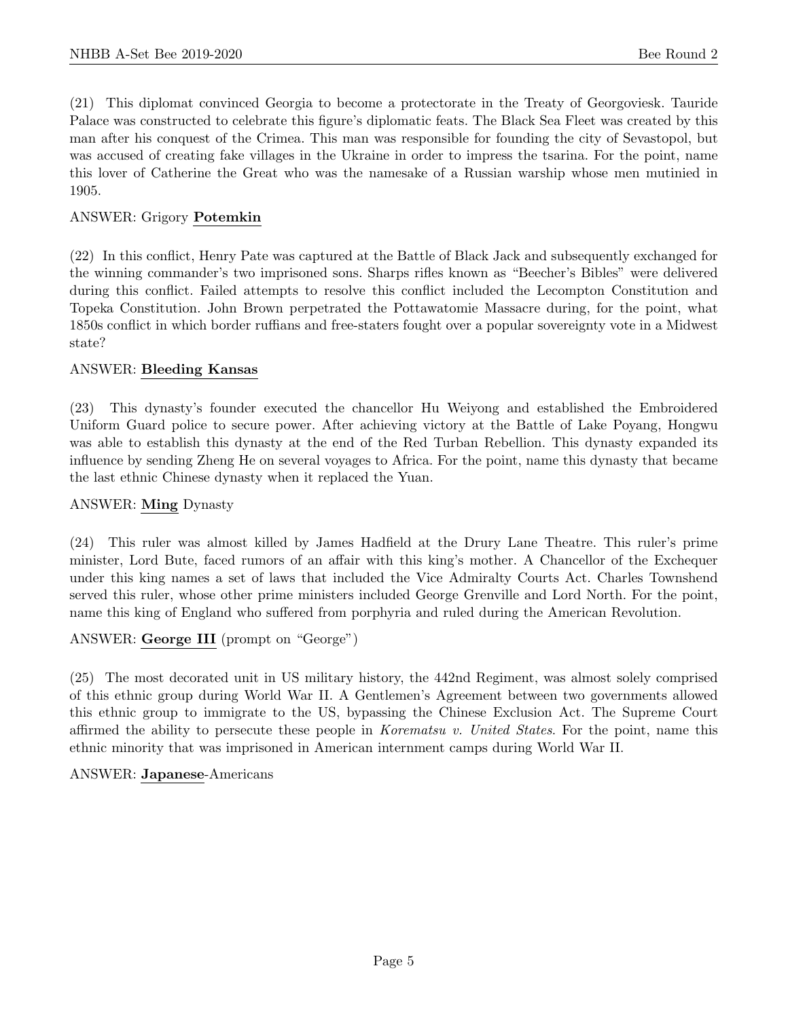(21) This diplomat convinced Georgia to become a protectorate in the Treaty of Georgoviesk. Tauride Palace was constructed to celebrate this figure's diplomatic feats. The Black Sea Fleet was created by this man after his conquest of the Crimea. This man was responsible for founding the city of Sevastopol, but was accused of creating fake villages in the Ukraine in order to impress the tsarina. For the point, name this lover of Catherine the Great who was the namesake of a Russian warship whose men mutinied in 1905.

#### ANSWER: Grigory Potemkin

(22) In this conflict, Henry Pate was captured at the Battle of Black Jack and subsequently exchanged for the winning commander's two imprisoned sons. Sharps rifles known as "Beecher's Bibles" were delivered during this conflict. Failed attempts to resolve this conflict included the Lecompton Constitution and Topeka Constitution. John Brown perpetrated the Pottawatomie Massacre during, for the point, what 1850s conflict in which border ruffians and free-staters fought over a popular sovereignty vote in a Midwest state?

#### ANSWER: Bleeding Kansas

(23) This dynasty's founder executed the chancellor Hu Weiyong and established the Embroidered Uniform Guard police to secure power. After achieving victory at the Battle of Lake Poyang, Hongwu was able to establish this dynasty at the end of the Red Turban Rebellion. This dynasty expanded its influence by sending Zheng He on several voyages to Africa. For the point, name this dynasty that became the last ethnic Chinese dynasty when it replaced the Yuan.

#### ANSWER: Ming Dynasty

(24) This ruler was almost killed by James Hadfield at the Drury Lane Theatre. This ruler's prime minister, Lord Bute, faced rumors of an affair with this king's mother. A Chancellor of the Exchequer under this king names a set of laws that included the Vice Admiralty Courts Act. Charles Townshend served this ruler, whose other prime ministers included George Grenville and Lord North. For the point, name this king of England who suffered from porphyria and ruled during the American Revolution.

#### ANSWER: George III (prompt on "George")

(25) The most decorated unit in US military history, the 442nd Regiment, was almost solely comprised of this ethnic group during World War II. A Gentlemen's Agreement between two governments allowed this ethnic group to immigrate to the US, bypassing the Chinese Exclusion Act. The Supreme Court affirmed the ability to persecute these people in Korematsu v. United States. For the point, name this ethnic minority that was imprisoned in American internment camps during World War II.

#### ANSWER: Japanese-Americans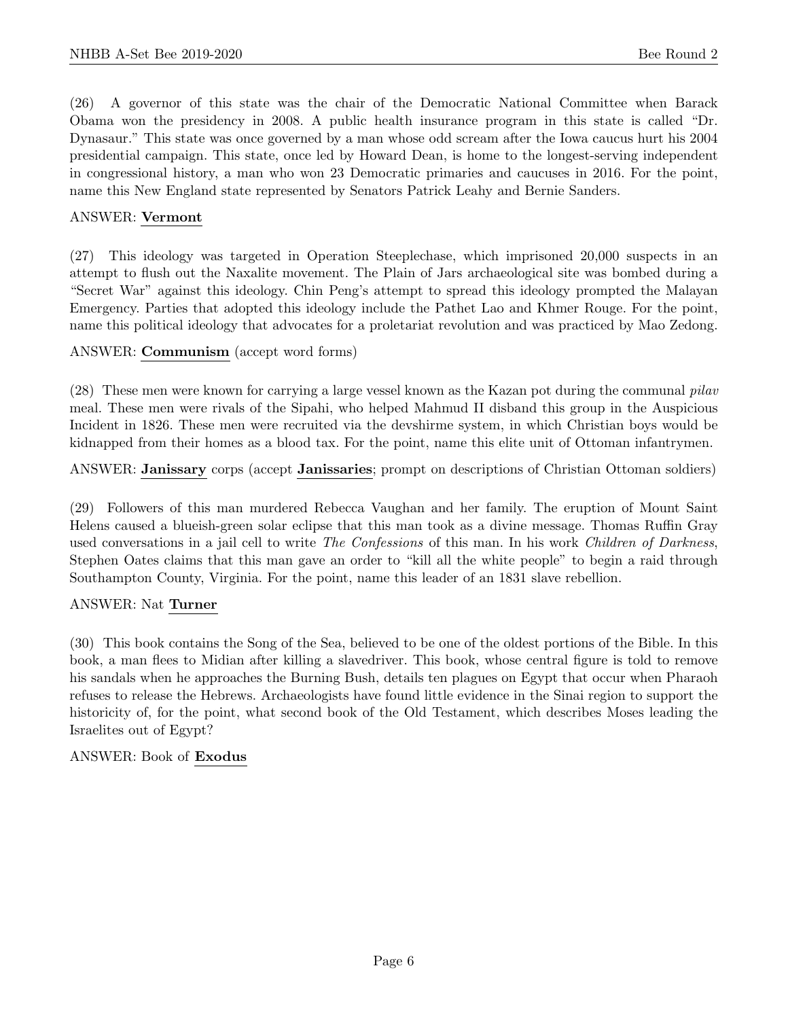(26) A governor of this state was the chair of the Democratic National Committee when Barack Obama won the presidency in 2008. A public health insurance program in this state is called "Dr. Dynasaur." This state was once governed by a man whose odd scream after the Iowa caucus hurt his 2004 presidential campaign. This state, once led by Howard Dean, is home to the longest-serving independent in congressional history, a man who won 23 Democratic primaries and caucuses in 2016. For the point, name this New England state represented by Senators Patrick Leahy and Bernie Sanders.

#### ANSWER: Vermont

(27) This ideology was targeted in Operation Steeplechase, which imprisoned 20,000 suspects in an attempt to flush out the Naxalite movement. The Plain of Jars archaeological site was bombed during a "Secret War" against this ideology. Chin Peng's attempt to spread this ideology prompted the Malayan Emergency. Parties that adopted this ideology include the Pathet Lao and Khmer Rouge. For the point, name this political ideology that advocates for a proletariat revolution and was practiced by Mao Zedong.

ANSWER: Communism (accept word forms)

(28) These men were known for carrying a large vessel known as the Kazan pot during the communal pilav meal. These men were rivals of the Sipahi, who helped Mahmud II disband this group in the Auspicious Incident in 1826. These men were recruited via the devshirme system, in which Christian boys would be kidnapped from their homes as a blood tax. For the point, name this elite unit of Ottoman infantrymen.

ANSWER: Janissary corps (accept Janissaries; prompt on descriptions of Christian Ottoman soldiers)

(29) Followers of this man murdered Rebecca Vaughan and her family. The eruption of Mount Saint Helens caused a blueish-green solar eclipse that this man took as a divine message. Thomas Ruffin Gray used conversations in a jail cell to write *The Confessions* of this man. In his work *Children of Darkness*, Stephen Oates claims that this man gave an order to "kill all the white people" to begin a raid through Southampton County, Virginia. For the point, name this leader of an 1831 slave rebellion.

# ANSWER: Nat Turner

(30) This book contains the Song of the Sea, believed to be one of the oldest portions of the Bible. In this book, a man flees to Midian after killing a slavedriver. This book, whose central figure is told to remove his sandals when he approaches the Burning Bush, details ten plagues on Egypt that occur when Pharaoh refuses to release the Hebrews. Archaeologists have found little evidence in the Sinai region to support the historicity of, for the point, what second book of the Old Testament, which describes Moses leading the Israelites out of Egypt?

ANSWER: Book of Exodus